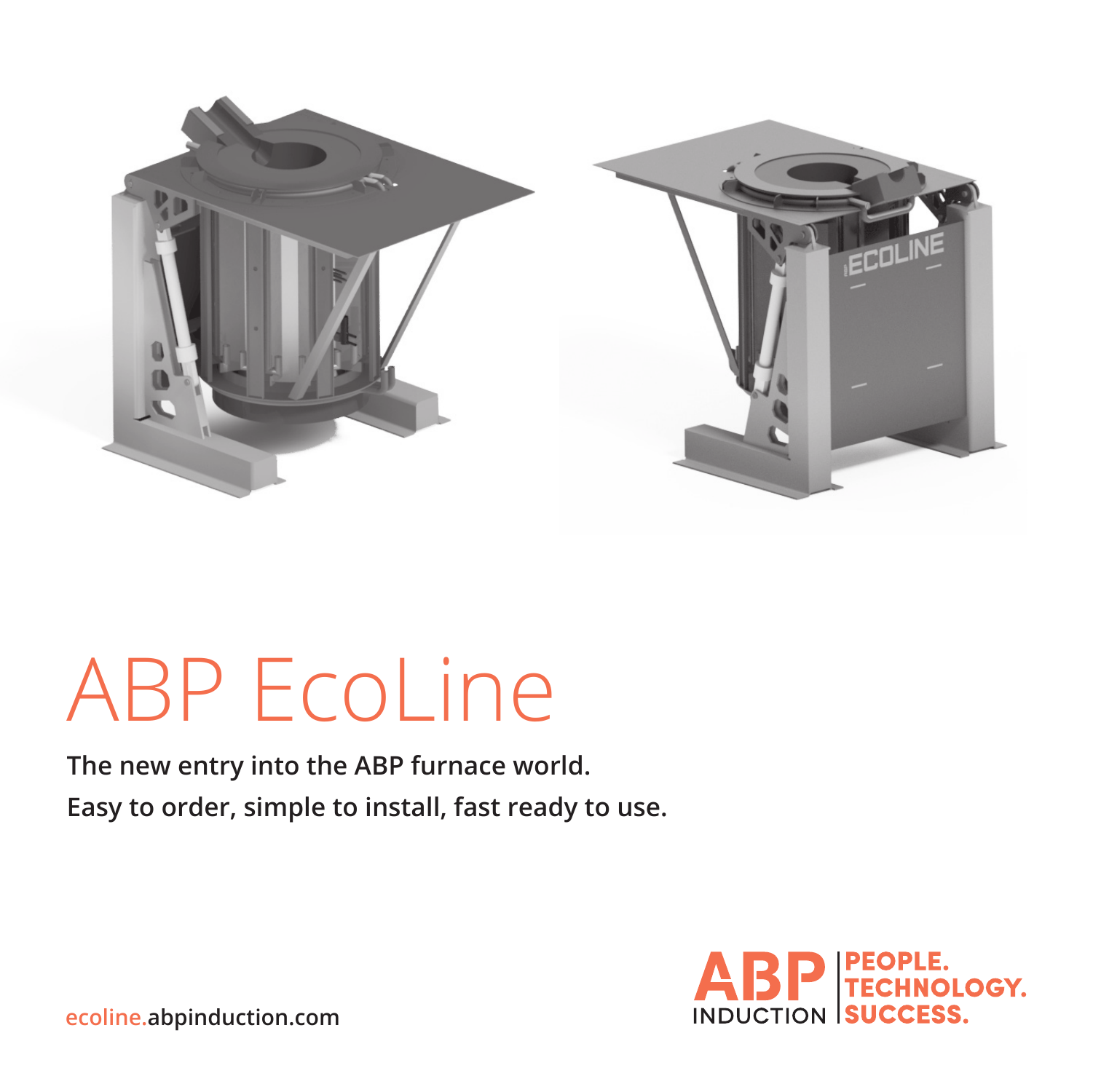

# ABP EcoLine

**The new entry into the ABP furnace world. Easy to order, simple to install, fast ready to use.**



**ecoline.abpinduction.com**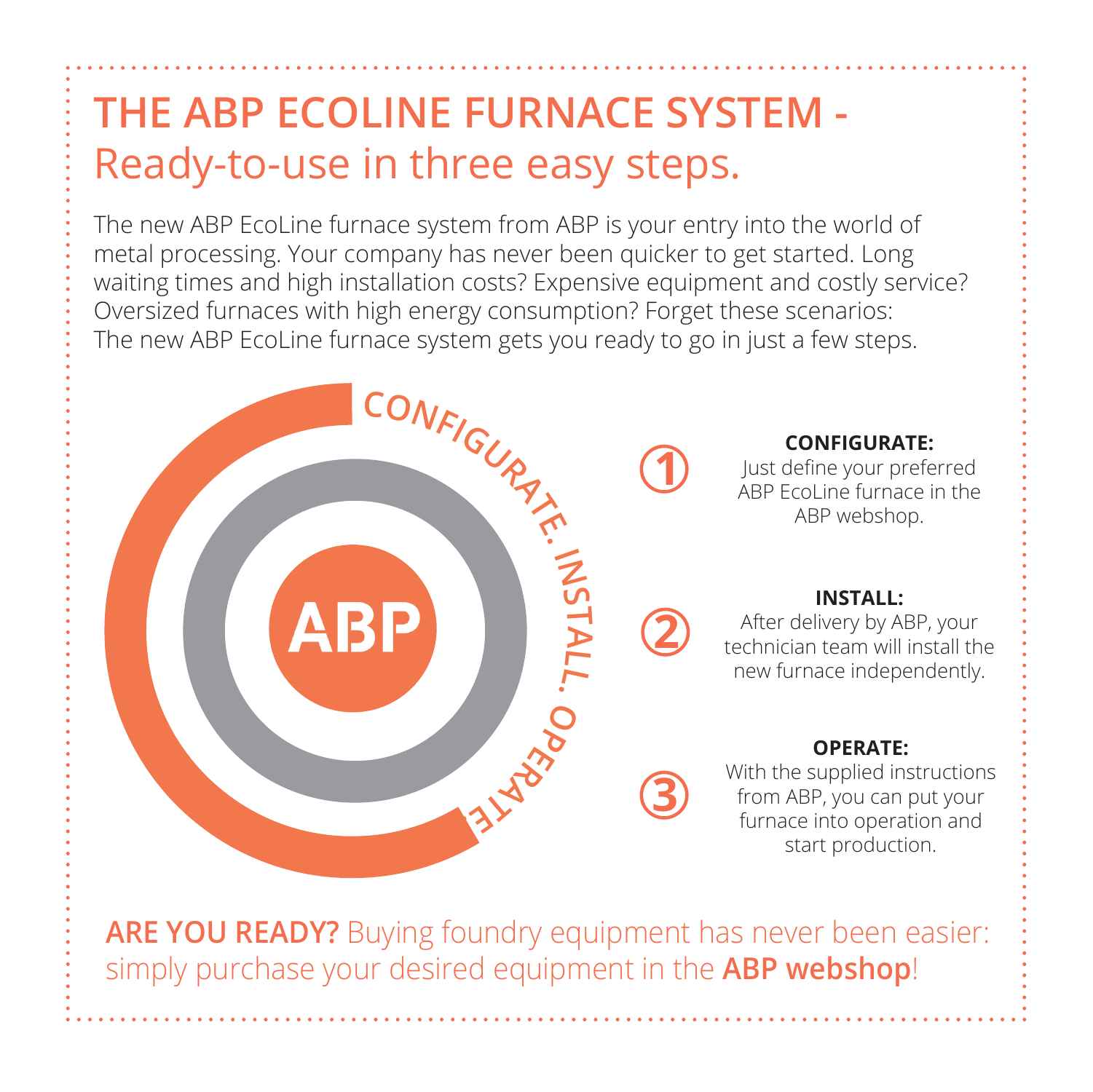### **THE ABP ECOLINE FURNACE SYSTEM -** Ready-to-use in three easy steps.

The new ABP EcoLine furnace system from ABP is your entry into the world of metal processing. Your company has never been quicker to get started. Long waiting times and high installation costs? Expensive equipment and costly service? Oversized furnaces with high energy consumption? Forget these scenarios: The new ABP EcoLine furnace system gets you ready to go in just a few steps.



simply purchase your desired equipment in the **ABP webshop**!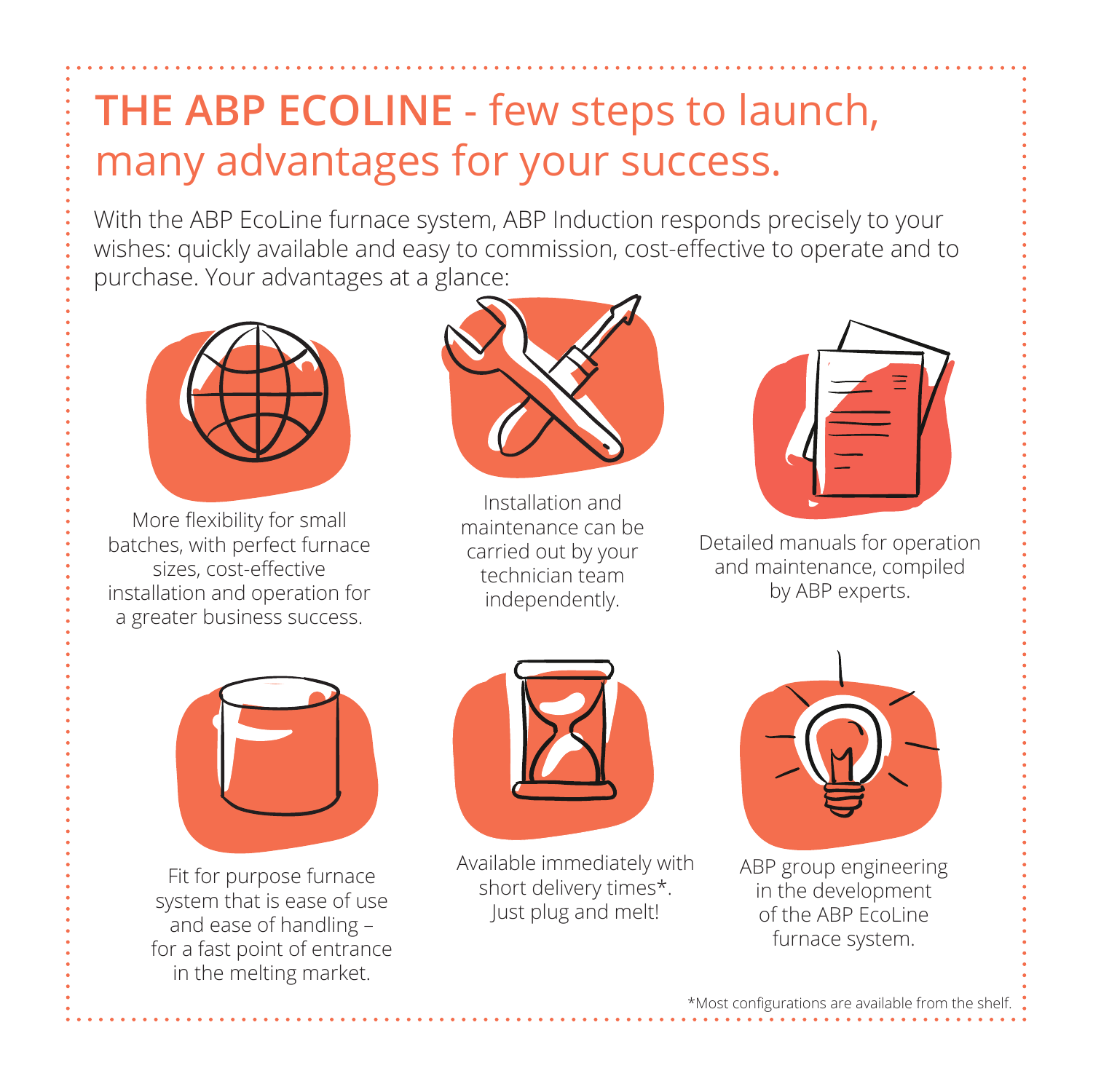#### **THE ABP ECOLINE** - few steps to launch, many advantages for your success.

With the ABP EcoLine furnace system, ABP Induction responds precisely to your wishes: quickly available and easy to commission, cost-effective to operate and to purchase. Your advantages at a glance:



More flexibility for small batches, with perfect furnace sizes, cost-effective installation and operation for a greater business success.



Installation and maintenance can be carried out by your technician team independently.

Detailed manuals for operation and maintenance, compiled by ABP experts.



Fit for purpose furnace system that is ease of use and ease of handling – for a fast point of entrance in the melting market.



Available immediately with short delivery times\*. Just plug and melt!



ABP group engineering in the development of the ABP EcoLine furnace system.